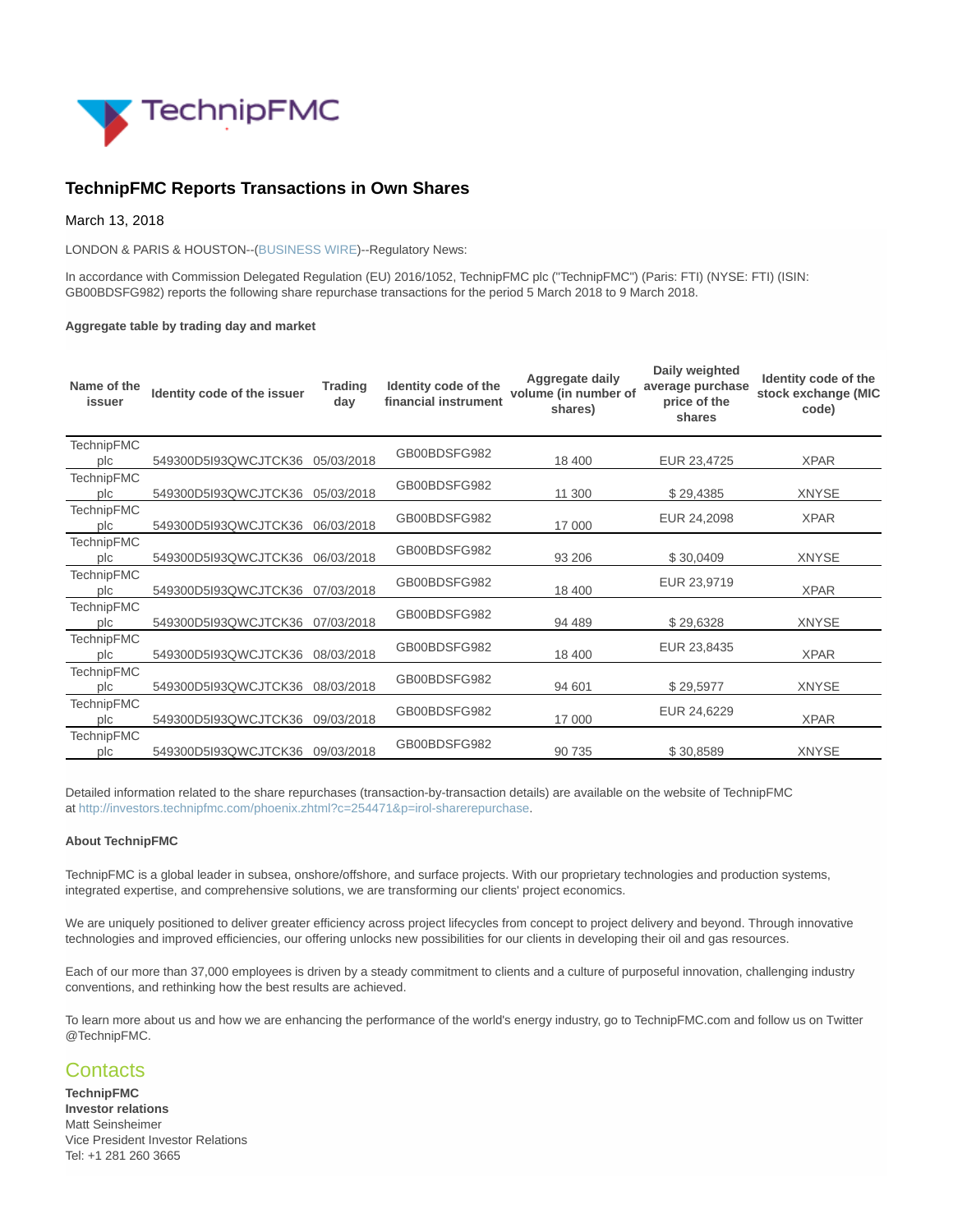

## **TechnipFMC Reports Transactions in Own Shares**

March 13, 2018

LONDON & PARIS & HOUSTON--[\(BUSINESS WIRE\)](https://www.businesswire.com/)--Regulatory News:

In accordance with Commission Delegated Regulation (EU) 2016/1052, TechnipFMC plc ("TechnipFMC") (Paris: FTI) (NYSE: FTI) (ISIN: GB00BDSFG982) reports the following share repurchase transactions for the period 5 March 2018 to 9 March 2018.

## **Aggregate table by trading day and market**

| Name of the<br>issuer    | Identity code of the issuer | <b>Trading</b><br>day | Identity code of the<br>financial instrument | Aggregate daily<br>volume (in number of<br>shares) | Daily weighted<br>average purchase<br>price of the<br>shares | Identity code of the<br>stock exchange (MIC<br>code) |
|--------------------------|-----------------------------|-----------------------|----------------------------------------------|----------------------------------------------------|--------------------------------------------------------------|------------------------------------------------------|
| <b>TechnipFMC</b><br>plc | 549300D5l93QWCJTCK36        | 05/03/2018            | GB00BDSFG982                                 | 18 400                                             | EUR 23,4725                                                  | <b>XPAR</b>                                          |
| <b>TechnipFMC</b><br>plc | 549300D5I93QWCJTCK36        | 05/03/2018            | GB00BDSFG982                                 | 11 300                                             | \$29,4385                                                    | <b>XNYSE</b>                                         |
| <b>TechnipFMC</b><br>plc | 549300D5l93QWCJTCK36        | 06/03/2018            | GB00BDSFG982                                 | 17 000                                             | EUR 24,2098                                                  | <b>XPAR</b>                                          |
| <b>TechnipFMC</b><br>plc | 549300D5I93QWCJTCK36        | 06/03/2018            | GB00BDSFG982                                 | 93 206                                             | \$30,0409                                                    | <b>XNYSE</b>                                         |
| <b>TechnipFMC</b><br>plc | 549300D5l93QWCJTCK36        | 07/03/2018            | GB00BDSFG982                                 | 18 400                                             | EUR 23,9719                                                  | <b>XPAR</b>                                          |
| <b>TechnipFMC</b><br>plc | 549300D5I93QWCJTCK36        | 07/03/2018            | GB00BDSFG982                                 | 94 489                                             | \$29,6328                                                    | <b>XNYSE</b>                                         |
| <b>TechnipFMC</b><br>plc | 549300D5I93QWCJTCK36        | 08/03/2018            | GB00BDSFG982                                 | 18 400                                             | EUR 23,8435                                                  | <b>XPAR</b>                                          |
| <b>TechnipFMC</b><br>plc | 549300D5l93QWCJTCK36        | 08/03/2018            | GB00BDSFG982                                 | 94 601                                             | \$29,5977                                                    | <b>XNYSE</b>                                         |
| <b>TechnipFMC</b><br>plc | 549300D5I93QWCJTCK36        | 09/03/2018            | GB00BDSFG982                                 | 17 000                                             | EUR 24,6229                                                  | <b>XPAR</b>                                          |
| <b>TechnipFMC</b><br>plc | 549300D5l93QWCJTCK36        | 09/03/2018            | GB00BDSFG982                                 | 90 735                                             | \$30,8589                                                    | <b>XNYSE</b>                                         |

Detailed information related to the share repurchases (transaction-by-transaction details) are available on the website of TechnipFMC at [http://investors.technipfmc.com/phoenix.zhtml?c=254471&p=irol-sharerepurchase.](http://cts.businesswire.com/ct/CT?id=smartlink&url=http%3A%2F%2Finvestors.technipfmc.com%2Fphoenix.zhtml%3Fc%3D254471%26p%3Dirol-sharerepurchase&esheet=51772785&newsitemid=20180313006409&lan=en-US&anchor=http%3A%2F%2Finvestors.technipfmc.com%2Fphoenix.zhtml%3Fc%3D254471%26p%3Dirol-sharerepurchase&index=1&md5=156f2959b8c7580c74b3a2f00a383b2d)

## **About TechnipFMC**

TechnipFMC is a global leader in subsea, onshore/offshore, and surface projects. With our proprietary technologies and production systems, integrated expertise, and comprehensive solutions, we are transforming our clients' project economics.

We are uniquely positioned to deliver greater efficiency across project lifecycles from concept to project delivery and beyond. Through innovative technologies and improved efficiencies, our offering unlocks new possibilities for our clients in developing their oil and gas resources.

Each of our more than 37,000 employees is driven by a steady commitment to clients and a culture of purposeful innovation, challenging industry conventions, and rethinking how the best results are achieved.

To learn more about us and how we are enhancing the performance of the world's energy industry, go to TechnipFMC.com and follow us on Twitter @TechnipFMC.

## **Contacts**

**TechnipFMC Investor relations** Matt Seinsheimer Vice President Investor Relations Tel: +1 281 260 3665